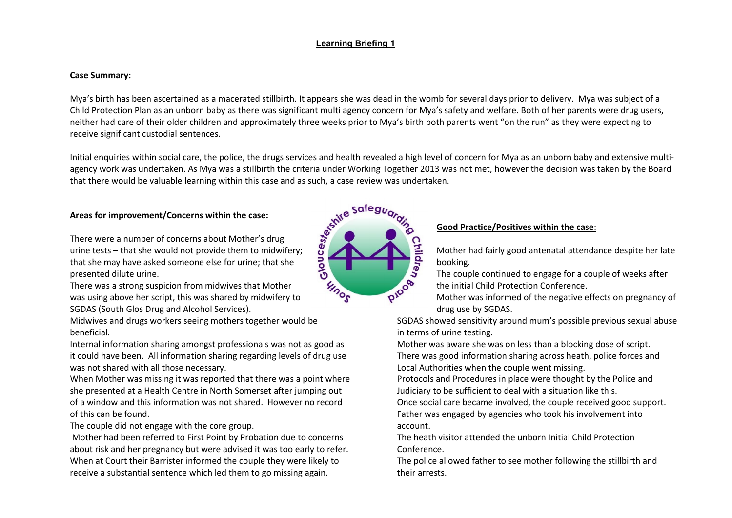# **Learning Briefing 1**

#### **Case Summary:**

Mya's birth has been ascertained as a macerated stillbirth. It appears she was dead in the womb for several days prior to delivery. Mya was subject of a Child Protection Plan as an unborn baby as there was significant multi agency concern for Mya's safety and welfare. Both of her parents were drug users, neither had care of their older children and approximately three weeks prior to Mya's birth both parents went "on the run" as they were expecting to receive significant custodial sentences.

Initial enquiries within social care, the police, the drugs services and health revealed a high level of concern for Mya as an unborn baby and extensive multiagency work was undertaken. As Mya was a stillbirth the criteria under Working Together 2013 was not met, however the decision was taken by the Board

### **Areas for improvement/Concerns within the case:**

that there would be valuable learning within this case and as such, a case review was undertaken.<br>
Areas for improvement/Concerns within the case:<br>
There were a number of concerns about Mother's drug<br>
urine tests – that sh There were a number of concerns about Mother's drug urine tests – that she would not provide them to midwifery; that she may have asked someone else for urine; that she presented dilute urine.

There was a strong suspicion from midwives that Mother was using above her script, this was shared by midwifery to SGDAS (South Glos Drug and Alcohol Services).

Midwives and drugs workers seeing mothers together would be beneficial.

Internal information sharing amongst professionals was not as good as it could have been. All information sharing regarding levels of drug use was not shared with all those necessary.

When Mother was missing it was reported that there was a point where she presented at a Health Centre in North Somerset after jumping out of a window and this information was not shared. However no record of this can be found.

The couple did not engage with the core group.

Mother had been referred to First Point by Probation due to concerns about risk and her pregnancy but were advised it was too early to refer. When at Court their Barrister informed the couple they were likely to receive a substantial sentence which led them to go missing again.



## **Good Practice/Positives within the case**:

Mother had fairly good antenatal attendance despite her late booking.

The couple continued to engage for a couple of weeks after the initial Child Protection Conference.

Mother was informed of the negative effects on pregnancy of drug use by SGDAS.

SGDAS showed sensitivity around mum's possible previous sexual abuse in terms of urine testing.

Mother was aware she was on less than a blocking dose of script. There was good information sharing across heath, police forces and Local Authorities when the couple went missing.

Protocols and Procedures in place were thought by the Police and Judiciary to be sufficient to deal with a situation like this.

Once social care became involved, the couple received good support. Father was engaged by agencies who took his involvement into account.

The heath visitor attended the unborn Initial Child Protection Conference.

The police allowed father to see mother following the stillbirth and their arrests.